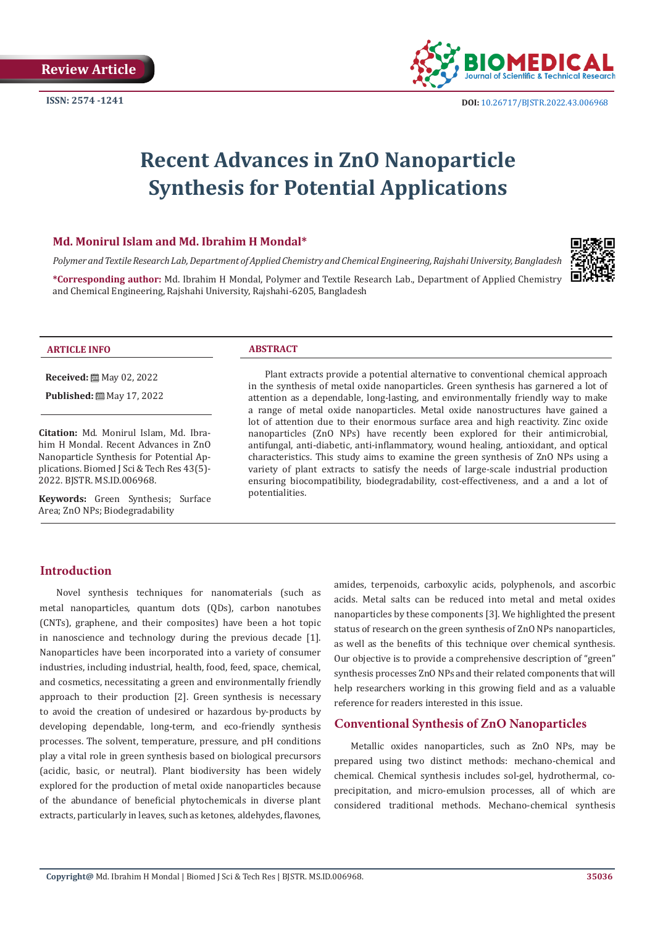

# **Recent Advances in ZnO Nanoparticle Synthesis for Potential Applications**

#### **Md. Monirul Islam and Md. Ibrahim H Mondal\***

*Polymer and Textile Research Lab, Department of Applied Chemistry and Chemical Engineering, Rajshahi University, Bangladesh*

**\*Corresponding author:** Md. Ibrahim H Mondal, Polymer and Textile Research Lab., Department of Applied Chemistry and Chemical Engineering, Rajshahi University, Rajshahi-6205, Bangladesh



#### **ARTICLE INFO ABSTRACT**

**Received:** May 02, 2022

Published: [2011] May 17, 2022

**Citation:** Md. Monirul Islam, Md. Ibrahim H Mondal. Recent Advances in ZnO Nanoparticle Synthesis for Potential Applications. Biomed J Sci & Tech Res 43(5)- 2022. BJSTR. MS.ID.006968.

**Keywords:** Green Synthesis; Surface Area; ZnO NPs; Biodegradability

Plant extracts provide a potential alternative to conventional chemical approach in the synthesis of metal oxide nanoparticles. Green synthesis has garnered a lot of attention as a dependable, long-lasting, and environmentally friendly way to make a range of metal oxide nanoparticles. Metal oxide nanostructures have gained a lot of attention due to their enormous surface area and high reactivity. Zinc oxide nanoparticles (ZnO NPs) have recently been explored for their antimicrobial, antifungal, anti-diabetic, anti-inflammatory, wound healing, antioxidant, and optical characteristics. This study aims to examine the green synthesis of ZnO NPs using a variety of plant extracts to satisfy the needs of large-scale industrial production ensuring biocompatibility, biodegradability, cost-effectiveness, and a and a lot of potentialities.

#### **Introduction**

Novel synthesis techniques for nanomaterials (such as metal nanoparticles, quantum dots (QDs), carbon nanotubes (CNTs), graphene, and their composites) have been a hot topic in nanoscience and technology during the previous decade [1]. Nanoparticles have been incorporated into a variety of consumer industries, including industrial, health, food, feed, space, chemical, and cosmetics, necessitating a green and environmentally friendly approach to their production [2]. Green synthesis is necessary to avoid the creation of undesired or hazardous by-products by developing dependable, long-term, and eco-friendly synthesis processes. The solvent, temperature, pressure, and pH conditions play a vital role in green synthesis based on biological precursors (acidic, basic, or neutral). Plant biodiversity has been widely explored for the production of metal oxide nanoparticles because of the abundance of beneficial phytochemicals in diverse plant extracts, particularly in leaves, such as ketones, aldehydes, flavones,

amides, terpenoids, carboxylic acids, polyphenols, and ascorbic acids. Metal salts can be reduced into metal and metal oxides nanoparticles by these components [3]. We highlighted the present status of research on the green synthesis of ZnO NPs nanoparticles, as well as the benefits of this technique over chemical synthesis. Our objective is to provide a comprehensive description of "green" synthesis processes ZnO NPs and their related components that will help researchers working in this growing field and as a valuable reference for readers interested in this issue.

#### **Conventional Synthesis of ZnO Nanoparticles**

Metallic oxides nanoparticles, such as ZnO NPs, may be prepared using two distinct methods: mechano-chemical and chemical. Chemical synthesis includes sol-gel, hydrothermal, coprecipitation, and micro-emulsion processes, all of which are considered traditional methods. Mechano-chemical synthesis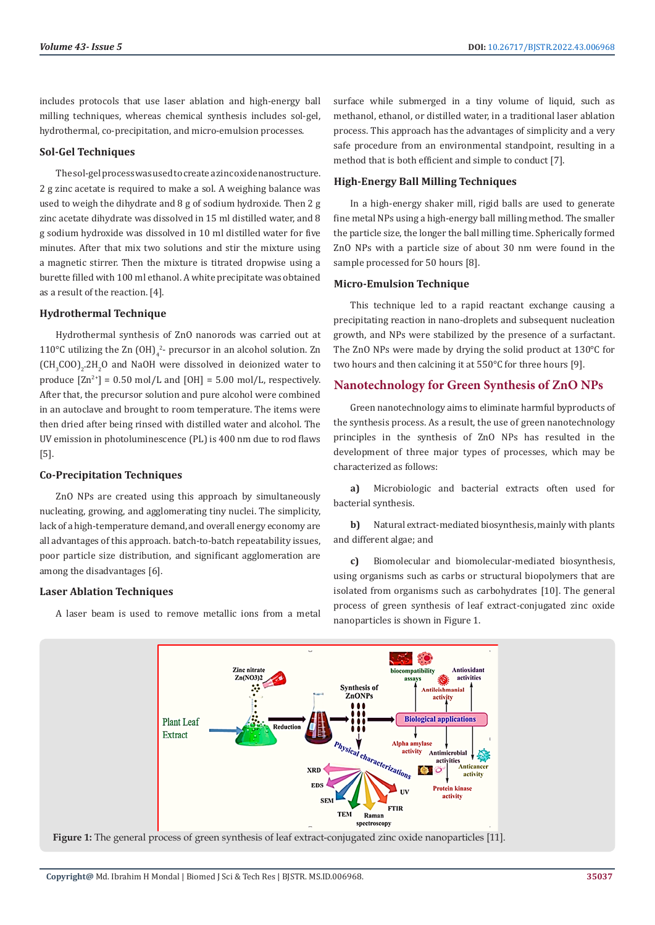includes protocols that use laser ablation and high-energy ball milling techniques, whereas chemical synthesis includes sol-gel, hydrothermal, co-precipitation, and micro-emulsion processes.

#### **Sol-Gel Techniques**

The sol-gel process was used to create a zinc oxide nanostructure. 2 g zinc acetate is required to make a sol. A weighing balance was used to weigh the dihydrate and 8 g of sodium hydroxide. Then 2 g zinc acetate dihydrate was dissolved in 15 ml distilled water, and 8 g sodium hydroxide was dissolved in 10 ml distilled water for five minutes. After that mix two solutions and stir the mixture using a magnetic stirrer. Then the mixture is titrated dropwise using a burette filled with 100 ml ethanol. A white precipitate was obtained as a result of the reaction. [4].

#### **Hydrothermal Technique**

Hydrothermal synthesis of ZnO nanorods was carried out at 110 °C utilizing the  $\text{Zn (OH)}_{4}^{2}$ - precursor in an alcohol solution. Zn  $\text{CH}_3\text{COO}\text{)}_2$ .2H<sub>2</sub>O and NaOH were dissolved in deionized water to produce  $[Zn^{2+}] = 0.50$  mol/L and  $[OH] = 5.00$  mol/L, respectively. After that, the precursor solution and pure alcohol were combined in an autoclave and brought to room temperature. The items were then dried after being rinsed with distilled water and alcohol. The UV emission in photoluminescence (PL) is 400 nm due to rod flaws [5].

#### **Co-Precipitation Techniques**

ZnO NPs are created using this approach by simultaneously nucleating, growing, and agglomerating tiny nuclei. The simplicity, lack of a high-temperature demand, and overall energy economy are all advantages of this approach. batch-to-batch repeatability issues, poor particle size distribution, and significant agglomeration are among the disadvantages [6].

#### **Laser Ablation Techniques**

A laser beam is used to remove metallic ions from a metal

surface while submerged in a tiny volume of liquid, such as methanol, ethanol, or distilled water, in a traditional laser ablation process. This approach has the advantages of simplicity and a very safe procedure from an environmental standpoint, resulting in a method that is both efficient and simple to conduct [7].

#### **High-Energy Ball Milling Techniques**

In a high-energy shaker mill, rigid balls are used to generate fine metal NPs using a high-energy ball milling method. The smaller the particle size, the longer the ball milling time. Spherically formed ZnO NPs with a particle size of about 30 nm were found in the sample processed for 50 hours [8].

#### **Micro-Emulsion Technique**

This technique led to a rapid reactant exchange causing a precipitating reaction in nano-droplets and subsequent nucleation growth, and NPs were stabilized by the presence of a surfactant. The ZnO NPs were made by drying the solid product at 130°C for two hours and then calcining it at 550°C for three hours [9].

#### **Nanotechnology for Green Synthesis of ZnO NPs**

Green nanotechnology aims to eliminate harmful byproducts of the synthesis process. As a result, the use of green nanotechnology principles in the synthesis of ZnO NPs has resulted in the development of three major types of processes, which may be characterized as follows:

**a)** Microbiologic and bacterial extracts often used for bacterial synthesis.

**b)** Natural extract-mediated biosynthesis, mainly with plants and different algae; and

**c)** Biomolecular and biomolecular-mediated biosynthesis, using organisms such as carbs or structural biopolymers that are isolated from organisms such as carbohydrates [10]. The general process of green synthesis of leaf extract-conjugated zinc oxide nanoparticles is shown in Figure 1.

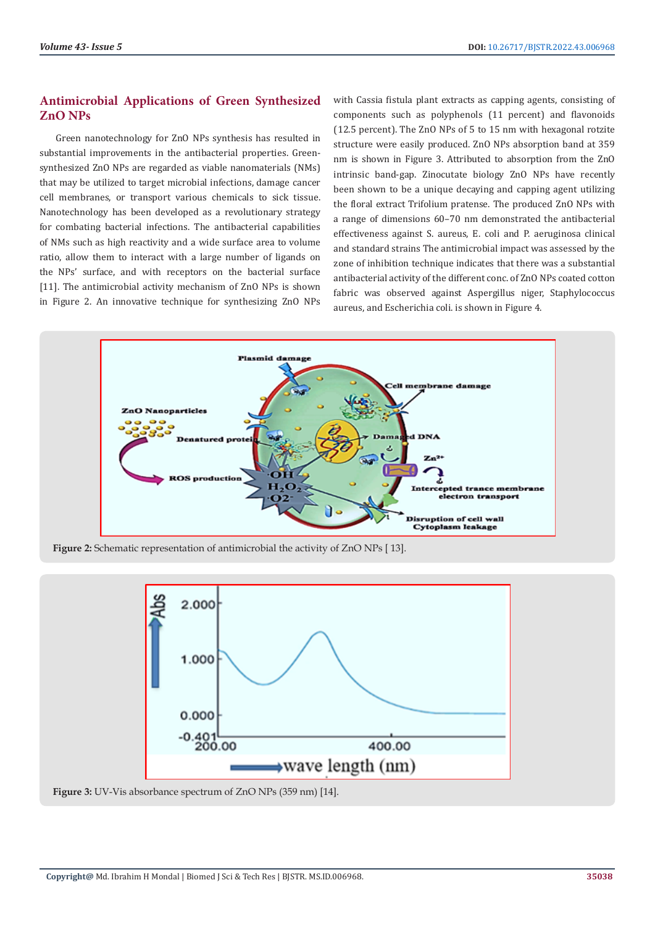## **Antimicrobial Applications of Green Synthesized ZnO NPs**

Green nanotechnology for ZnO NPs synthesis has resulted in substantial improvements in the antibacterial properties. Greensynthesized ZnO NPs are regarded as viable nanomaterials (NMs) that may be utilized to target microbial infections, damage cancer cell membranes, or transport various chemicals to sick tissue. Nanotechnology has been developed as a revolutionary strategy for combating bacterial infections. The antibacterial capabilities of NMs such as high reactivity and a wide surface area to volume ratio, allow them to interact with a large number of ligands on the NPs' surface, and with receptors on the bacterial surface [11]. The antimicrobial activity mechanism of ZnO NPs is shown in Figure 2. An innovative technique for synthesizing ZnO NPs

with Cassia fistula plant extracts as capping agents, consisting of components such as polyphenols (11 percent) and flavonoids (12.5 percent). The ZnO NPs of 5 to 15 nm with hexagonal rotzite structure were easily produced. ZnO NPs absorption band at 359 nm is shown in Figure 3. Attributed to absorption from the ZnO intrinsic band-gap. Zinocutate biology ZnO NPs have recently been shown to be a unique decaying and capping agent utilizing the floral extract Trifolium pratense. The produced ZnO NPs with a range of dimensions 60–70 nm demonstrated the antibacterial effectiveness against S. aureus, E. coli and P. aeruginosa clinical and standard strains The antimicrobial impact was assessed by the zone of inhibition technique indicates that there was a substantial antibacterial activity of the different conc. of ZnO NPs coated cotton fabric was observed against Aspergillus niger, Staphylococcus aureus, and Escherichia coli. is shown in Figure 4.



**Figure 2:** Schematic representation of antimicrobial the activity of ZnO NPs [ 13].



**Figure 3:** UV-Vis absorbance spectrum of ZnO NPs (359 nm) [14].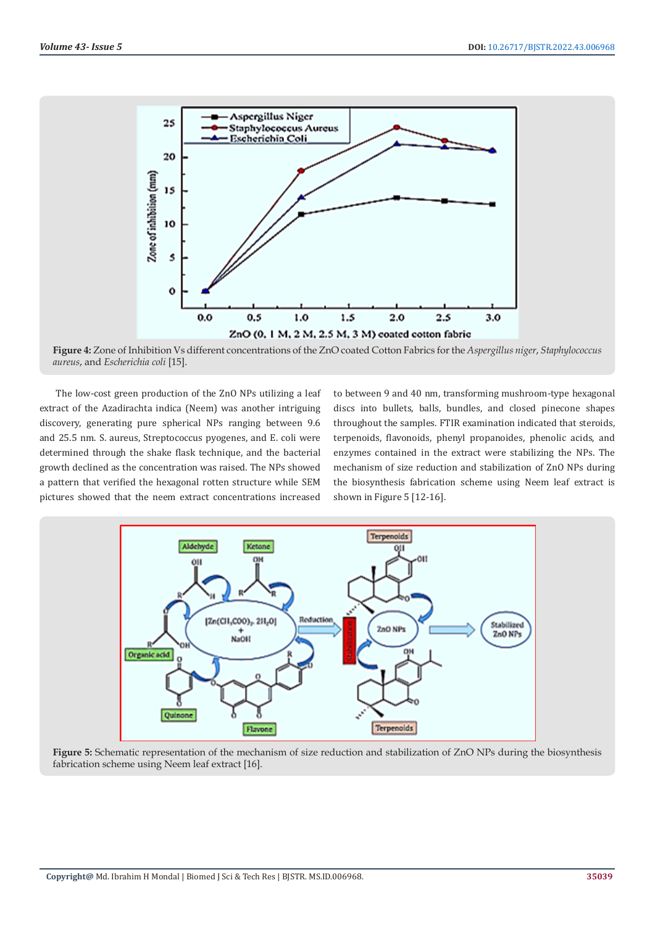

**Figure 4:** Zone of Inhibition Vs different concentrations of the ZnO coated Cotton Fabrics for the *Aspergillus niger*, *Staphylococcus aureus*, and *Escherichia coli* [15].

The low-cost green production of the ZnO NPs utilizing a leaf extract of the Azadirachta indica (Neem) was another intriguing discovery, generating pure spherical NPs ranging between 9.6 and 25.5 nm. S. aureus, Streptococcus pyogenes, and E. coli were determined through the shake flask technique, and the bacterial growth declined as the concentration was raised. The NPs showed a pattern that verified the hexagonal rotten structure while SEM pictures showed that the neem extract concentrations increased to between 9 and 40 nm, transforming mushroom-type hexagonal discs into bullets, balls, bundles, and closed pinecone shapes throughout the samples. FTIR examination indicated that steroids, terpenoids, flavonoids, phenyl propanoides, phenolic acids, and enzymes contained in the extract were stabilizing the NPs. The mechanism of size reduction and stabilization of ZnO NPs during the biosynthesis fabrication scheme using Neem leaf extract is shown in Figure 5 [12-16].



**Figure 5:** Schematic representation of the mechanism of size reduction and stabilization of ZnO NPs during the biosynthesis fabrication scheme using Neem leaf extract [16].